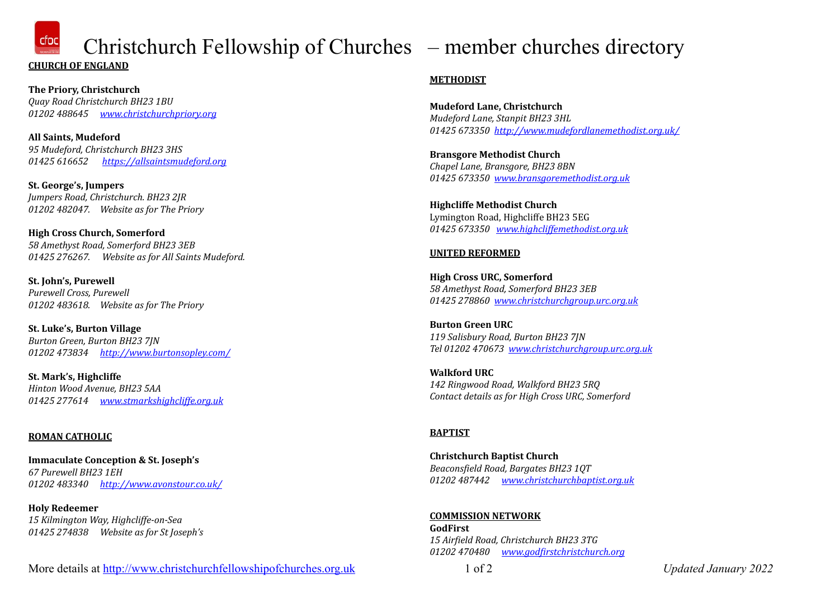$\frac{d\alpha}{d\alpha}$  Christchurch Fellowship of Churches – member churches directory **CHURCH OF ENGLAND** 

**The Priory, Christchurch** *Quay Road Christchurch BH23 1BU 01202 488645 [www.christchurchpriory.org](http://www.christchurchpriory.org)*

**All Saints, Mudeford** *95 Mudeford, Christchurch BH23 3HS 01425 616652 <https://allsaintsmudeford.org>*

**St. George's, Jumpers** *Jumpers Road, Christchurch. BH23 2JR 01202 482047. Website as for The Priory*

**High Cross Church, Somerford** *58 Amethyst Road, Somerford BH23 3EB 01425 276267. Website as for All Saints Mudeford.*

**St. John's, Purewell** *Purewell Cross, Purewell* 01202 483618. Website as for The Priory

**St. Luke's, Burton Village** *Burton Green, Burton BH23 7JN 01202 473834 <http://www.burtonsopley.com/>*

**St. Mark's, Highcliffe** *Hinton Wood Avenue, BH23 5AA 01425 277614 [www.stmarkshighcliffe.org.uk](http://www.stmarkshighcliffe.org.uk)*

# **ROMAN CATHOLIC**

**Immaculate Conception & St. Joseph's** *67 Purewell BH23 1EH 01202 483340 <http://www.avonstour.co.uk/>*

**Holy Redeemer** *15 Kilmington Way, Highcliffe-on-Sea 01425 274838 Website as for St Joseph's*

# **METHODIST**

**Mudeford Lane, Christchurch** *Mudeford Lane, Stanpit BH23 3HL 01425 673350 <http://www.mudefordlanemethodist.org.uk/>*

**Bransgore Methodist Church** *Chapel Lane, Bransgore, BH23 8BN 01425 673350 [www.bransgoremethodist.org.uk](http://www.bransgoremethodist.org.uk/)*

**Highcliffe Methodist Church** Lymington Road, Highcliffe BH23 5EG *01425 673350 [www.highcliffemethodist.org.uk](http://www.highcliffemethodist.org.uk/)*

# **UNITED REFORMED**

**High Cross URC, Somerford** *58 Amethyst Road, Somerford BH23 3EB 01425 278860 [www.christchurchgroup.urc.org.uk](http://www.christchurchgroup.urc.org.uk)*

**Burton Green URC** *119 Salisbury Road, Burton BH23 7JN Tel 01202 470673  [www.christchurchgroup.urc.org.uk](http://www.christchurchgroup.urc.org.uk/)*

**Walkford URC** *142 Ringwood Road, Walkford BH23 5RQ Contact details as for High Cross URC, Somerford*

# **BAPTIST**

**Christchurch Baptist Church**  *Beaconsfield Road, Bargates BH23 1QT 01202 487442 [www.christchurchbaptist.org.uk](http://www.christchurchbaptist.org.uk)*

**COMMISSION NETWORK GodFirst** *15 Airfield Road, Christchurch BH23 3TG 01202 470480 [www.godfirstchristchurch.org](http://www.godfirstchristchurch.org)*